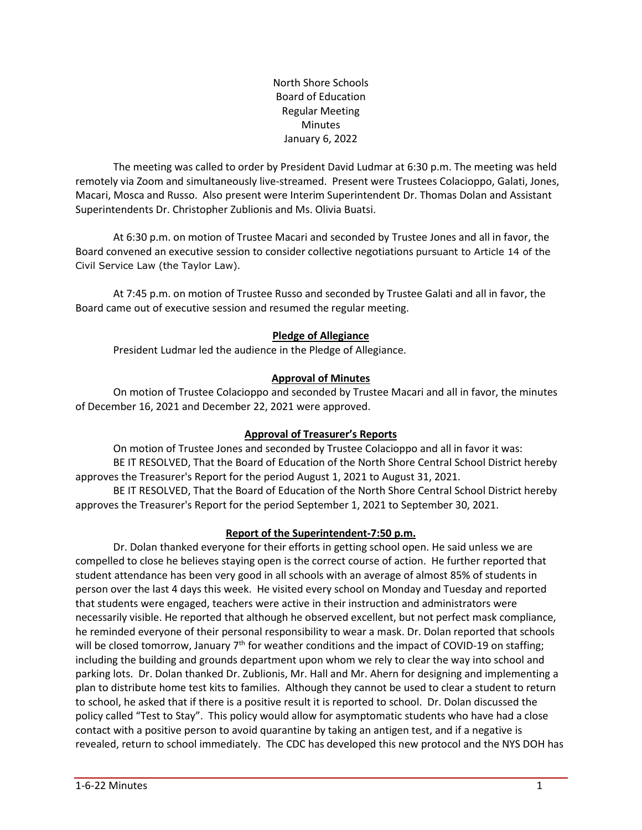North Shore Schools Board of Education Regular Meeting Minutes January 6, 2022

The meeting was called to order by President David Ludmar at 6:30 p.m. The meeting was held remotely via Zoom and simultaneously live-streamed. Present were Trustees Colacioppo, Galati, Jones, Macari, Mosca and Russo. Also present were Interim Superintendent Dr. Thomas Dolan and Assistant Superintendents Dr. Christopher Zublionis and Ms. Olivia Buatsi.

At 6:30 p.m. on motion of Trustee Macari and seconded by Trustee Jones and all in favor, the Board convened an executive session to consider collective negotiations pursuant to Article 14 of the Civil Service Law (the Taylor Law).

At 7:45 p.m. on motion of Trustee Russo and seconded by Trustee Galati and all in favor, the Board came out of executive session and resumed the regular meeting.

## **Pledge of Allegiance**

President Ludmar led the audience in the Pledge of Allegiance.

## **Approval of Minutes**

On motion of Trustee Colacioppo and seconded by Trustee Macari and all in favor, the minutes of December 16, 2021 and December 22, 2021 were approved.

## **Approval of Treasurer's Reports**

On motion of Trustee Jones and seconded by Trustee Colacioppo and all in favor it was: BE IT RESOLVED, That the Board of Education of the North Shore Central School District hereby approves the Treasurer's Report for the period August 1, 2021 to August 31, 2021.

BE IT RESOLVED, That the Board of Education of the North Shore Central School District hereby approves the Treasurer's Report for the period September 1, 2021 to September 30, 2021.

## **Report of the Superintendent-7:50 p.m.**

Dr. Dolan thanked everyone for their efforts in getting school open. He said unless we are compelled to close he believes staying open is the correct course of action. He further reported that student attendance has been very good in all schools with an average of almost 85% of students in person over the last 4 days this week. He visited every school on Monday and Tuesday and reported that students were engaged, teachers were active in their instruction and administrators were necessarily visible. He reported that although he observed excellent, but not perfect mask compliance, he reminded everyone of their personal responsibility to wear a mask. Dr. Dolan reported that schools will be closed tomorrow, January 7<sup>th</sup> for weather conditions and the impact of COVID-19 on staffing; including the building and grounds department upon whom we rely to clear the way into school and parking lots. Dr. Dolan thanked Dr. Zublionis, Mr. Hall and Mr. Ahern for designing and implementing a plan to distribute home test kits to families. Although they cannot be used to clear a student to return to school, he asked that if there is a positive result it is reported to school. Dr. Dolan discussed the policy called "Test to Stay". This policy would allow for asymptomatic students who have had a close contact with a positive person to avoid quarantine by taking an antigen test, and if a negative is revealed, return to school immediately. The CDC has developed this new protocol and the NYS DOH has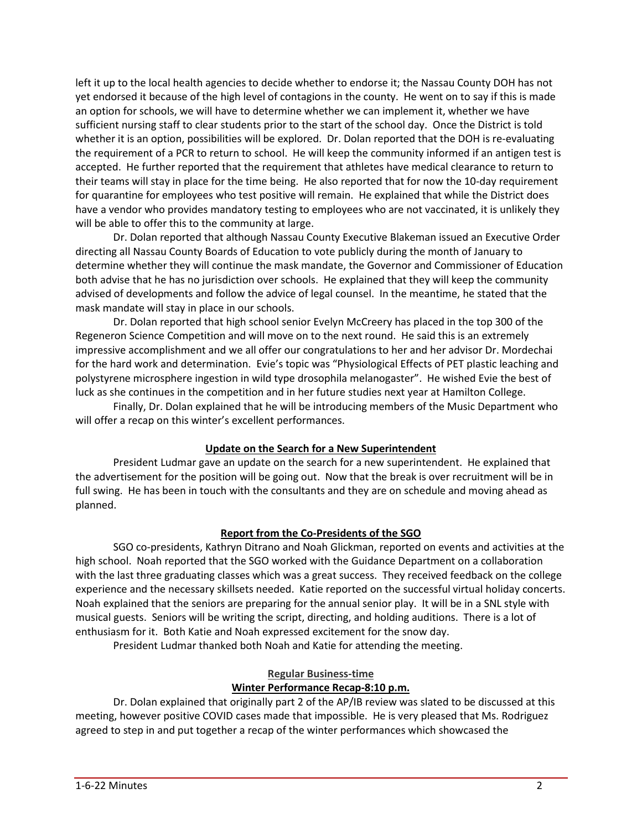left it up to the local health agencies to decide whether to endorse it; the Nassau County DOH has not yet endorsed it because of the high level of contagions in the county. He went on to say if this is made an option for schools, we will have to determine whether we can implement it, whether we have sufficient nursing staff to clear students prior to the start of the school day. Once the District is told whether it is an option, possibilities will be explored. Dr. Dolan reported that the DOH is re-evaluating the requirement of a PCR to return to school. He will keep the community informed if an antigen test is accepted. He further reported that the requirement that athletes have medical clearance to return to their teams will stay in place for the time being. He also reported that for now the 10-day requirement for quarantine for employees who test positive will remain. He explained that while the District does have a vendor who provides mandatory testing to employees who are not vaccinated, it is unlikely they will be able to offer this to the community at large.

Dr. Dolan reported that although Nassau County Executive Blakeman issued an Executive Order directing all Nassau County Boards of Education to vote publicly during the month of January to determine whether they will continue the mask mandate, the Governor and Commissioner of Education both advise that he has no jurisdiction over schools. He explained that they will keep the community advised of developments and follow the advice of legal counsel. In the meantime, he stated that the mask mandate will stay in place in our schools.

Dr. Dolan reported that high school senior Evelyn McCreery has placed in the top 300 of the Regeneron Science Competition and will move on to the next round. He said this is an extremely impressive accomplishment and we all offer our congratulations to her and her advisor Dr. Mordechai for the hard work and determination. Evie's topic was "Physiological Effects of PET plastic leaching and polystyrene microsphere ingestion in wild type drosophila melanogaster". He wished Evie the best of luck as she continues in the competition and in her future studies next year at Hamilton College.

Finally, Dr. Dolan explained that he will be introducing members of the Music Department who will offer a recap on this winter's excellent performances.

## **Update on the Search for a New Superintendent**

President Ludmar gave an update on the search for a new superintendent. He explained that the advertisement for the position will be going out. Now that the break is over recruitment will be in full swing. He has been in touch with the consultants and they are on schedule and moving ahead as planned.

## **Report from the Co-Presidents of the SGO**

SGO co-presidents, Kathryn Ditrano and Noah Glickman, reported on events and activities at the high school. Noah reported that the SGO worked with the Guidance Department on a collaboration with the last three graduating classes which was a great success. They received feedback on the college experience and the necessary skillsets needed. Katie reported on the successful virtual holiday concerts. Noah explained that the seniors are preparing for the annual senior play. It will be in a SNL style with musical guests. Seniors will be writing the script, directing, and holding auditions. There is a lot of enthusiasm for it. Both Katie and Noah expressed excitement for the snow day.

President Ludmar thanked both Noah and Katie for attending the meeting.

## **Regular Business-time**

## **Winter Performance Recap-8:10 p.m.**

Dr. Dolan explained that originally part 2 of the AP/IB review was slated to be discussed at this meeting, however positive COVID cases made that impossible. He is very pleased that Ms. Rodriguez agreed to step in and put together a recap of the winter performances which showcased the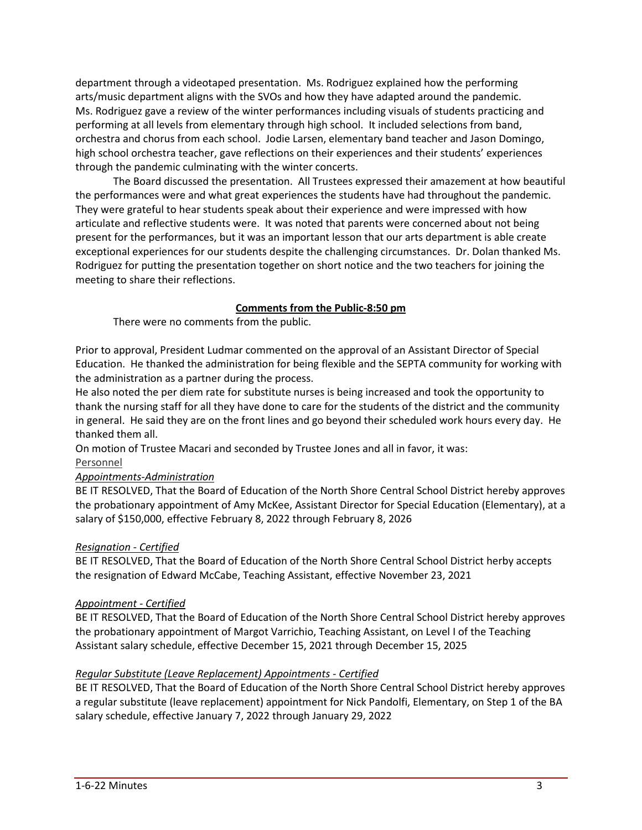department through a videotaped presentation. Ms. Rodriguez explained how the performing arts/music department aligns with the SVOs and how they have adapted around the pandemic. Ms. Rodriguez gave a review of the winter performances including visuals of students practicing and performing at all levels from elementary through high school. It included selections from band, orchestra and chorus from each school. Jodie Larsen, elementary band teacher and Jason Domingo, high school orchestra teacher, gave reflections on their experiences and their students' experiences through the pandemic culminating with the winter concerts.

The Board discussed the presentation. All Trustees expressed their amazement at how beautiful the performances were and what great experiences the students have had throughout the pandemic. They were grateful to hear students speak about their experience and were impressed with how articulate and reflective students were. It was noted that parents were concerned about not being present for the performances, but it was an important lesson that our arts department is able create exceptional experiences for our students despite the challenging circumstances. Dr. Dolan thanked Ms. Rodriguez for putting the presentation together on short notice and the two teachers for joining the meeting to share their reflections.

## **Comments from the Public-8:50 pm**

There were no comments from the public.

Prior to approval, President Ludmar commented on the approval of an Assistant Director of Special Education. He thanked the administration for being flexible and the SEPTA community for working with the administration as a partner during the process.

He also noted the per diem rate for substitute nurses is being increased and took the opportunity to thank the nursing staff for all they have done to care for the students of the district and the community in general. He said they are on the front lines and go beyond their scheduled work hours every day. He thanked them all.

On motion of Trustee Macari and seconded by Trustee Jones and all in favor, it was:

# Personnel

## *Appointments-Administration*

BE IT RESOLVED, That the Board of Education of the North Shore Central School District hereby approves the probationary appointment of Amy McKee, Assistant Director for Special Education (Elementary), at a salary of \$150,000, effective February 8, 2022 through February 8, 2026

## *Resignation - Certified*

BE IT RESOLVED, That the Board of Education of the North Shore Central School District herby accepts the resignation of Edward McCabe, Teaching Assistant, effective November 23, 2021

## *Appointment - Certified*

BE IT RESOLVED, That the Board of Education of the North Shore Central School District hereby approves the probationary appointment of Margot Varrichio, Teaching Assistant, on Level I of the Teaching Assistant salary schedule, effective December 15, 2021 through December 15, 2025

## *Regular Substitute (Leave Replacement) Appointments - Certified*

BE IT RESOLVED, That the Board of Education of the North Shore Central School District hereby approves a regular substitute (leave replacement) appointment for Nick Pandolfi, Elementary, on Step 1 of the BA salary schedule, effective January 7, 2022 through January 29, 2022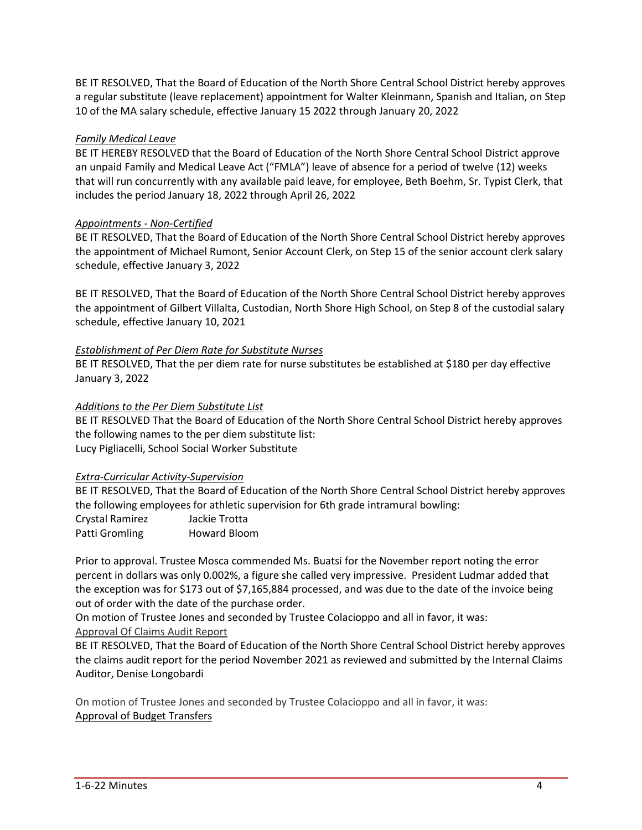BE IT RESOLVED, That the Board of Education of the North Shore Central School District hereby approves a regular substitute (leave replacement) appointment for Walter Kleinmann, Spanish and Italian, on Step 10 of the MA salary schedule, effective January 15 2022 through January 20, 2022

## *Family Medical Leave*

BE IT HEREBY RESOLVED that the Board of Education of the North Shore Central School District approve an unpaid Family and Medical Leave Act ("FMLA") leave of absence for a period of twelve (12) weeks that will run concurrently with any available paid leave, for employee, Beth Boehm, Sr. Typist Clerk, that includes the period January 18, 2022 through April 26, 2022

## *Appointments - Non-Certified*

BE IT RESOLVED, That the Board of Education of the North Shore Central School District hereby approves the appointment of Michael Rumont, Senior Account Clerk, on Step 15 of the senior account clerk salary schedule, effective January 3, 2022

BE IT RESOLVED, That the Board of Education of the North Shore Central School District hereby approves the appointment of Gilbert Villalta, Custodian, North Shore High School, on Step 8 of the custodial salary schedule, effective January 10, 2021

## *Establishment of Per Diem Rate for Substitute Nurses*

BE IT RESOLVED, That the per diem rate for nurse substitutes be established at \$180 per day effective January 3, 2022

## *Additions to the Per Diem Substitute List*

BE IT RESOLVED That the Board of Education of the North Shore Central School District hereby approves the following names to the per diem substitute list: Lucy Pigliacelli, School Social Worker Substitute

## *Extra-Curricular Activity-Supervision*

BE IT RESOLVED, That the Board of Education of the North Shore Central School District hereby approves the following employees for athletic supervision for 6th grade intramural bowling: Crystal Ramirez Jackie Trotta Patti Gromling Howard Bloom

Prior to approval. Trustee Mosca commended Ms. Buatsi for the November report noting the error percent in dollars was only 0.002%, a figure she called very impressive. President Ludmar added that the exception was for \$173 out of \$7,165,884 processed, and was due to the date of the invoice being out of order with the date of the purchase order.

On motion of Trustee Jones and seconded by Trustee Colacioppo and all in favor, it was: Approval Of Claims Audit Report

BE IT RESOLVED, That the Board of Education of the North Shore Central School District hereby approves the claims audit report for the period November 2021 as reviewed and submitted by the Internal Claims Auditor, Denise Longobardi

On motion of Trustee Jones and seconded by Trustee Colacioppo and all in favor, it was: Approval of Budget Transfers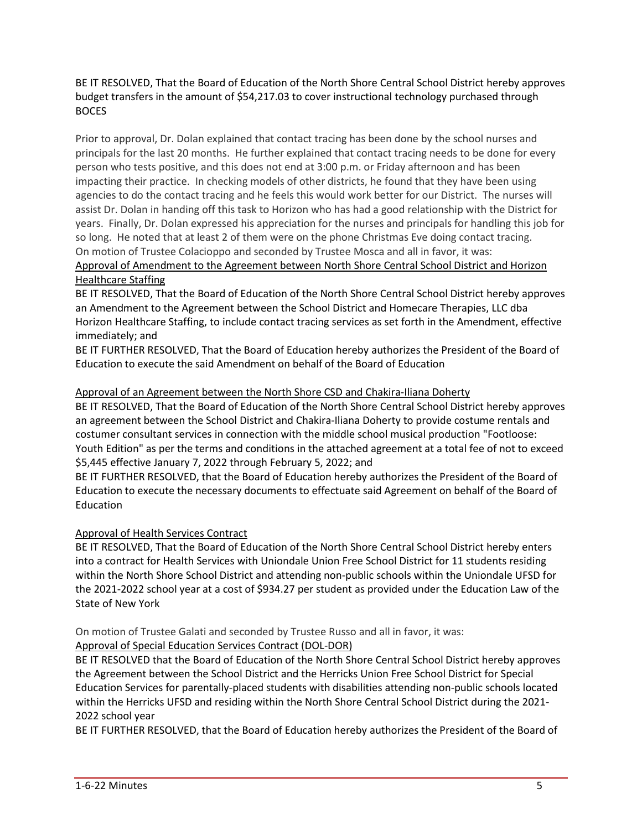BE IT RESOLVED, That the Board of Education of the North Shore Central School District hereby approves budget transfers in the amount of \$54,217.03 to cover instructional technology purchased through **BOCES** 

Prior to approval, Dr. Dolan explained that contact tracing has been done by the school nurses and principals for the last 20 months. He further explained that contact tracing needs to be done for every person who tests positive, and this does not end at 3:00 p.m. or Friday afternoon and has been impacting their practice. In checking models of other districts, he found that they have been using agencies to do the contact tracing and he feels this would work better for our District. The nurses will assist Dr. Dolan in handing off this task to Horizon who has had a good relationship with the District for years. Finally, Dr. Dolan expressed his appreciation for the nurses and principals for handling this job for so long. He noted that at least 2 of them were on the phone Christmas Eve doing contact tracing. On motion of Trustee Colacioppo and seconded by Trustee Mosca and all in favor, it was: Approval of Amendment to the Agreement between North Shore Central School District and Horizon

## Healthcare Staffing

BE IT RESOLVED, That the Board of Education of the North Shore Central School District hereby approves an Amendment to the Agreement between the School District and Homecare Therapies, LLC dba Horizon Healthcare Staffing, to include contact tracing services as set forth in the Amendment, effective immediately; and

BE IT FURTHER RESOLVED, That the Board of Education hereby authorizes the President of the Board of Education to execute the said Amendment on behalf of the Board of Education

## Approval of an Agreement between the North Shore CSD and Chakira-Iliana Doherty

BE IT RESOLVED, That the Board of Education of the North Shore Central School District hereby approves an agreement between the School District and Chakira-Iliana Doherty to provide costume rentals and costumer consultant services in connection with the middle school musical production "Footloose: Youth Edition" as per the terms and conditions in the attached agreement at a total fee of not to exceed \$5,445 effective January 7, 2022 through February 5, 2022; and

BE IT FURTHER RESOLVED, that the Board of Education hereby authorizes the President of the Board of Education to execute the necessary documents to effectuate said Agreement on behalf of the Board of Education

## Approval of Health Services Contract

BE IT RESOLVED, That the Board of Education of the North Shore Central School District hereby enters into a contract for Health Services with Uniondale Union Free School District for 11 students residing within the North Shore School District and attending non-public schools within the Uniondale UFSD for the 2021-2022 school year at a cost of \$934.27 per student as provided under the Education Law of the State of New York

## On motion of Trustee Galati and seconded by Trustee Russo and all in favor, it was: Approval of Special Education Services Contract (DOL-DOR)

BE IT RESOLVED that the Board of Education of the North Shore Central School District hereby approves the Agreement between the School District and the Herricks Union Free School District for Special Education Services for parentally-placed students with disabilities attending non-public schools located within the Herricks UFSD and residing within the North Shore Central School District during the 2021- 2022 school year

BE IT FURTHER RESOLVED, that the Board of Education hereby authorizes the President of the Board of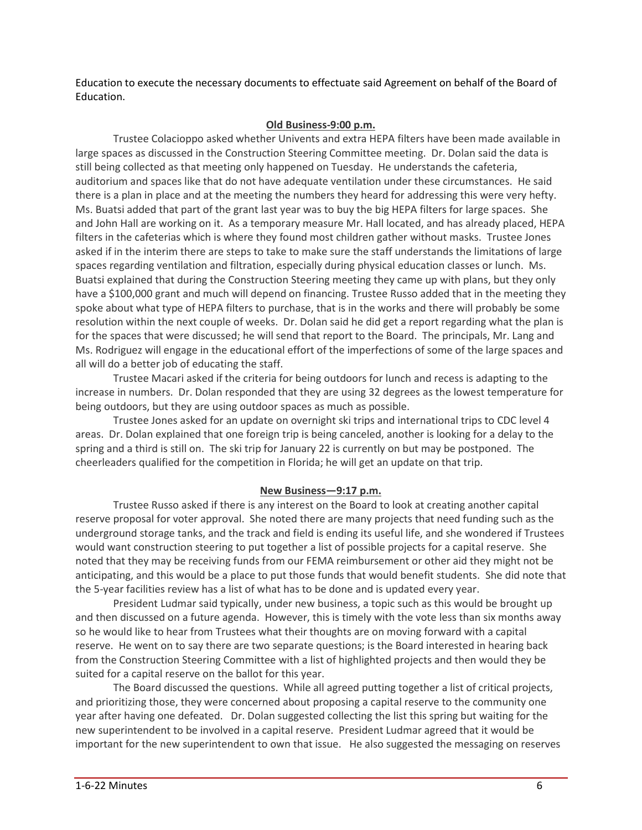Education to execute the necessary documents to effectuate said Agreement on behalf of the Board of Education.

#### **Old Business-9:00 p.m.**

Trustee Colacioppo asked whether Univents and extra HEPA filters have been made available in large spaces as discussed in the Construction Steering Committee meeting. Dr. Dolan said the data is still being collected as that meeting only happened on Tuesday. He understands the cafeteria, auditorium and spaces like that do not have adequate ventilation under these circumstances. He said there is a plan in place and at the meeting the numbers they heard for addressing this were very hefty. Ms. Buatsi added that part of the grant last year was to buy the big HEPA filters for large spaces. She and John Hall are working on it. As a temporary measure Mr. Hall located, and has already placed, HEPA filters in the cafeterias which is where they found most children gather without masks. Trustee Jones asked if in the interim there are steps to take to make sure the staff understands the limitations of large spaces regarding ventilation and filtration, especially during physical education classes or lunch. Ms. Buatsi explained that during the Construction Steering meeting they came up with plans, but they only have a \$100,000 grant and much will depend on financing. Trustee Russo added that in the meeting they spoke about what type of HEPA filters to purchase, that is in the works and there will probably be some resolution within the next couple of weeks. Dr. Dolan said he did get a report regarding what the plan is for the spaces that were discussed; he will send that report to the Board. The principals, Mr. Lang and Ms. Rodriguez will engage in the educational effort of the imperfections of some of the large spaces and all will do a better job of educating the staff.

Trustee Macari asked if the criteria for being outdoors for lunch and recess is adapting to the increase in numbers. Dr. Dolan responded that they are using 32 degrees as the lowest temperature for being outdoors, but they are using outdoor spaces as much as possible.

Trustee Jones asked for an update on overnight ski trips and international trips to CDC level 4 areas. Dr. Dolan explained that one foreign trip is being canceled, another is looking for a delay to the spring and a third is still on. The ski trip for January 22 is currently on but may be postponed. The cheerleaders qualified for the competition in Florida; he will get an update on that trip.

## **New Business—9:17 p.m.**

Trustee Russo asked if there is any interest on the Board to look at creating another capital reserve proposal for voter approval. She noted there are many projects that need funding such as the underground storage tanks, and the track and field is ending its useful life, and she wondered if Trustees would want construction steering to put together a list of possible projects for a capital reserve. She noted that they may be receiving funds from our FEMA reimbursement or other aid they might not be anticipating, and this would be a place to put those funds that would benefit students. She did note that the 5-year facilities review has a list of what has to be done and is updated every year.

President Ludmar said typically, under new business, a topic such as this would be brought up and then discussed on a future agenda. However, this is timely with the vote less than six months away so he would like to hear from Trustees what their thoughts are on moving forward with a capital reserve. He went on to say there are two separate questions; is the Board interested in hearing back from the Construction Steering Committee with a list of highlighted projects and then would they be suited for a capital reserve on the ballot for this year.

The Board discussed the questions. While all agreed putting together a list of critical projects, and prioritizing those, they were concerned about proposing a capital reserve to the community one year after having one defeated. Dr. Dolan suggested collecting the list this spring but waiting for the new superintendent to be involved in a capital reserve. President Ludmar agreed that it would be important for the new superintendent to own that issue. He also suggested the messaging on reserves